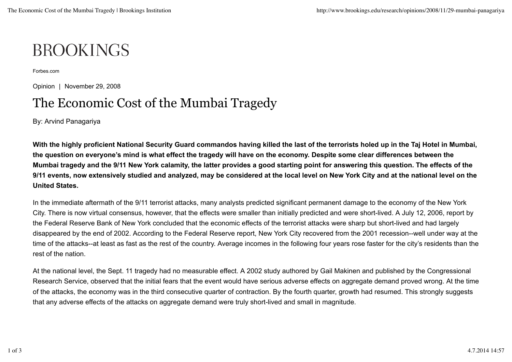## **BROOKINGS**

Forbes.com

Opinion | November 29, 2008

## The Economic Cost of the Mumbai Tragedy

By: Arvind Panagariya

**With the highly proficient National Security Guard commandos having killed the last of the terrorists holed up in the Taj Hotel in Mumbai, the question on everyone's mind is what effect the tragedy will have on the economy. Despite some clear differences between the Mumbai tragedy and the 9/11 New York calamity, the latter provides a good starting point for answering this question. The effects of the 9/11 events, now extensively studied and analyzed, may be considered at the local level on New York City and at the national level on the United States.**

In the immediate aftermath of the 9/11 terrorist attacks, many analysts predicted significant permanent damage to the economy of the New York City. There is now virtual consensus, however, that the effects were smaller than initially predicted and were short-lived. A July 12, 2006, report by the Federal Reserve Bank of New York concluded that the economic effects of the terrorist attacks were sharp but short-lived and had largely disappeared by the end of 2002. According to the Federal Reserve report, New York City recovered from the 2001 recession--well under way at the time of the attacks--at least as fast as the rest of the country. Average incomes in the following four years rose faster for the city's residents than the rest of the nation.

At the national level, the Sept. 11 tragedy had no measurable effect. A 2002 study authored by Gail Makinen and published by the Congressional Research Service, observed that the initial fears that the event would have serious adverse effects on aggregate demand proved wrong. At the time of the attacks, the economy was in the third consecutive quarter of contraction. By the fourth quarter, growth had resumed. This strongly suggests that any adverse effects of the attacks on aggregate demand were truly short-lived and small in magnitude.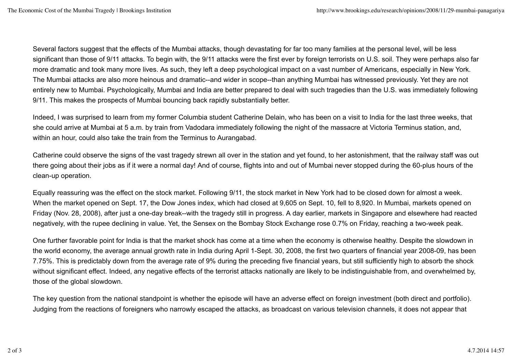Several factors suggest that the effects of the Mumbai attacks, though devastating for far too many families at the personal level, will be less significant than those of 9/11 attacks. To begin with, the 9/11 attacks were the first ever by foreign terrorists on U.S. soil. They were perhaps also far more dramatic and took many more lives. As such, they left a deep psychological impact on a vast number of Americans, especially in New York. The Mumbai attacks are also more heinous and dramatic--and wider in scope--than anything Mumbai has witnessed previously. Yet they are not entirely new to Mumbai. Psychologically, Mumbai and India are better prepared to deal with such tragedies than the U.S. was immediately following 9/11. This makes the prospects of Mumbai bouncing back rapidly substantially better.

Indeed, I was surprised to learn from my former Columbia student Catherine Delain, who has been on a visit to India for the last three weeks, that she could arrive at Mumbai at 5 a.m. by train from Vadodara immediately following the night of the massacre at Victoria Terminus station, and, within an hour, could also take the train from the Terminus to Aurangabad.

Catherine could observe the signs of the vast tragedy strewn all over in the station and yet found, to her astonishment, that the railway staff was out there going about their jobs as if it were a normal day! And of course, flights into and out of Mumbai never stopped during the 60-plus hours of the clean-up operation.

Equally reassuring was the effect on the stock market. Following 9/11, the stock market in New York had to be closed down for almost a week. When the market opened on Sept. 17, the Dow Jones index, which had closed at 9,605 on Sept. 10, fell to 8,920. In Mumbai, markets opened on Friday (Nov. 28, 2008), after just a one-day break--with the tragedy still in progress. A day earlier, markets in Singapore and elsewhere had reacted negatively, with the rupee declining in value. Yet, the Sensex on the Bombay Stock Exchange rose 0.7% on Friday, reaching a two-week peak.

One further favorable point for India is that the market shock has come at a time when the economy is otherwise healthy. Despite the slowdown in the world economy, the average annual growth rate in India during April 1-Sept. 30, 2008, the first two quarters of financial year 2008-09, has been 7.75%. This is predictably down from the average rate of 9% during the preceding five financial years, but still sufficiently high to absorb the shock without significant effect. Indeed, any negative effects of the terrorist attacks nationally are likely to be indistinguishable from, and overwhelmed by, those of the global slowdown.

The key question from the national standpoint is whether the episode will have an adverse effect on foreign investment (both direct and portfolio). Judging from the reactions of foreigners who narrowly escaped the attacks, as broadcast on various television channels, it does not appear that